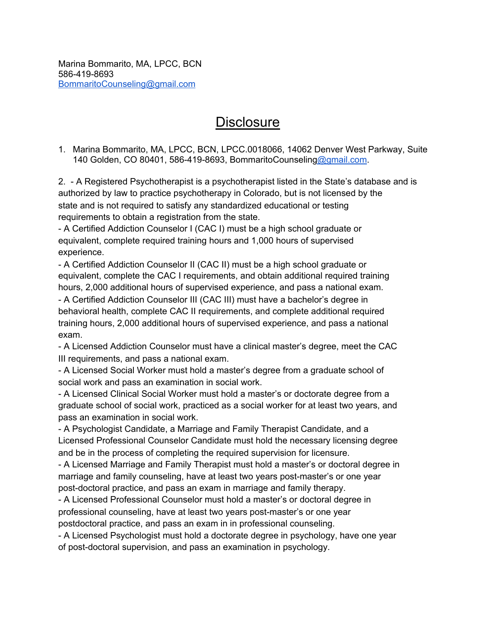Marina Bommarito, MA, LPCC, BCN 586-419-8693 [BommaritoCounseling@gmail.com](mailto:BommaritoCounseling@gmail.com)

## **Disclosure**

1. Marina Bommarito, MA, LPCC, BCN, LPCC.0018066, 14062 Denver West Parkway, Suite 140 Golden, CO 80401, 586-419-8693, BommaritoCounseling[@gmail.com](mailto:kmazzarese68@gmail.com).

2. - A Registered Psychotherapist is a psychotherapist listed in the State's database and is authorized by law to practice psychotherapy in Colorado, but is not licensed by the state and is not required to satisfy any standardized educational or testing requirements to obtain a registration from the state.

- A Certified Addiction Counselor I (CAC I) must be a high school graduate or equivalent, complete required training hours and 1,000 hours of supervised experience.

- A Certified Addiction Counselor II (CAC II) must be a high school graduate or equivalent, complete the CAC I requirements, and obtain additional required training hours, 2,000 additional hours of supervised experience, and pass a national exam.

- A Certified Addiction Counselor III (CAC III) must have a bachelor's degree in behavioral health, complete CAC II requirements, and complete additional required training hours, 2,000 additional hours of supervised experience, and pass a national exam.

- A Licensed Addiction Counselor must have a clinical master's degree, meet the CAC III requirements, and pass a national exam.

- A Licensed Social Worker must hold a master's degree from a graduate school of social work and pass an examination in social work.

- A Licensed Clinical Social Worker must hold a master's or doctorate degree from a graduate school of social work, practiced as a social worker for at least two years, and pass an examination in social work.

- A Psychologist Candidate, a Marriage and Family Therapist Candidate, and a Licensed Professional Counselor Candidate must hold the necessary licensing degree and be in the process of completing the required supervision for licensure.

- A Licensed Marriage and Family Therapist must hold a master's or doctoral degree in marriage and family counseling, have at least two years post-master's or one year post-doctoral practice, and pass an exam in marriage and family therapy.

- A Licensed Professional Counselor must hold a master's or doctoral degree in professional counseling, have at least two years post-master's or one year postdoctoral practice, and pass an exam in in professional counseling.

- A Licensed Psychologist must hold a doctorate degree in psychology, have one year of post-doctoral supervision, and pass an examination in psychology.